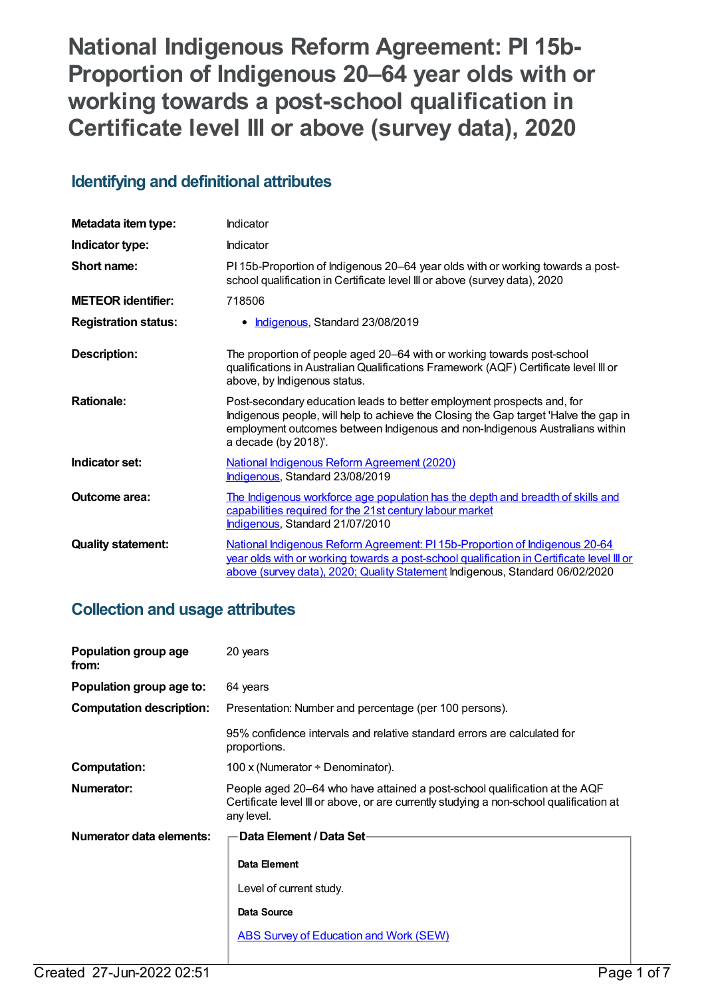**National Indigenous Reform Agreement: PI 15b-Proportion of Indigenous 20–64 year olds with or working towards a post-school qualification in Certificate level III or above (survey data), 2020**

# **Identifying and definitional attributes**

| Metadata item type:         | Indicator                                                                                                                                                                                                                                                              |
|-----------------------------|------------------------------------------------------------------------------------------------------------------------------------------------------------------------------------------------------------------------------------------------------------------------|
| Indicator type:             | Indicator                                                                                                                                                                                                                                                              |
| Short name:                 | PI 15b-Proportion of Indigenous 20–64 year olds with or working towards a post-<br>school qualification in Certificate level III or above (survey data), 2020                                                                                                          |
| <b>METEOR identifier:</b>   | 718506                                                                                                                                                                                                                                                                 |
| <b>Registration status:</b> | Indigenous, Standard 23/08/2019                                                                                                                                                                                                                                        |
| <b>Description:</b>         | The proportion of people aged 20–64 with or working towards post-school<br>qualifications in Australian Qualifications Framework (AQF) Certificate level III or<br>above, by Indigenous status.                                                                        |
| <b>Rationale:</b>           | Post-secondary education leads to better employment prospects and, for<br>Indigenous people, will help to achieve the Closing the Gap target 'Halve the gap in<br>employment outcomes between Indigenous and non-Indigenous Australians within<br>a decade (by 2018)'. |
| Indicator set:              | <b>National Indigenous Reform Agreement (2020)</b><br>Indigenous, Standard 23/08/2019                                                                                                                                                                                  |
| <b>Outcome area:</b>        | The Indigenous workforce age population has the depth and breadth of skills and<br>capabilities required for the 21st century labour market<br>Indigenous, Standard 21/07/2010                                                                                         |
| <b>Quality statement:</b>   | National Indigenous Reform Agreement: PI 15b-Proportion of Indigenous 20-64<br>year olds with or working towards a post-school qualification in Certificate level III or<br>above (survey data), 2020; Quality Statement Indigenous, Standard 06/02/2020               |

# **Collection and usage attributes**

| Population group age<br>from:   | 20 years                                                                                                                                                                            |  |
|---------------------------------|-------------------------------------------------------------------------------------------------------------------------------------------------------------------------------------|--|
| Population group age to:        | 64 years                                                                                                                                                                            |  |
| <b>Computation description:</b> | Presentation: Number and percentage (per 100 persons).                                                                                                                              |  |
|                                 | 95% confidence intervals and relative standard errors are calculated for<br>proportions.                                                                                            |  |
| <b>Computation:</b>             | 100 x (Numerator $\div$ Denominator).                                                                                                                                               |  |
| Numerator:                      | People aged 20–64 who have attained a post-school qualification at the AQF<br>Certificate level III or above, or are currently studying a non-school qualification at<br>any level. |  |
| Numerator data elements:        | Data Element / Data Set-                                                                                                                                                            |  |
|                                 | Data Element<br>Level of current study.                                                                                                                                             |  |
|                                 | Data Source                                                                                                                                                                         |  |
|                                 |                                                                                                                                                                                     |  |
|                                 | <b>ABS Survey of Education and Work (SEW)</b>                                                                                                                                       |  |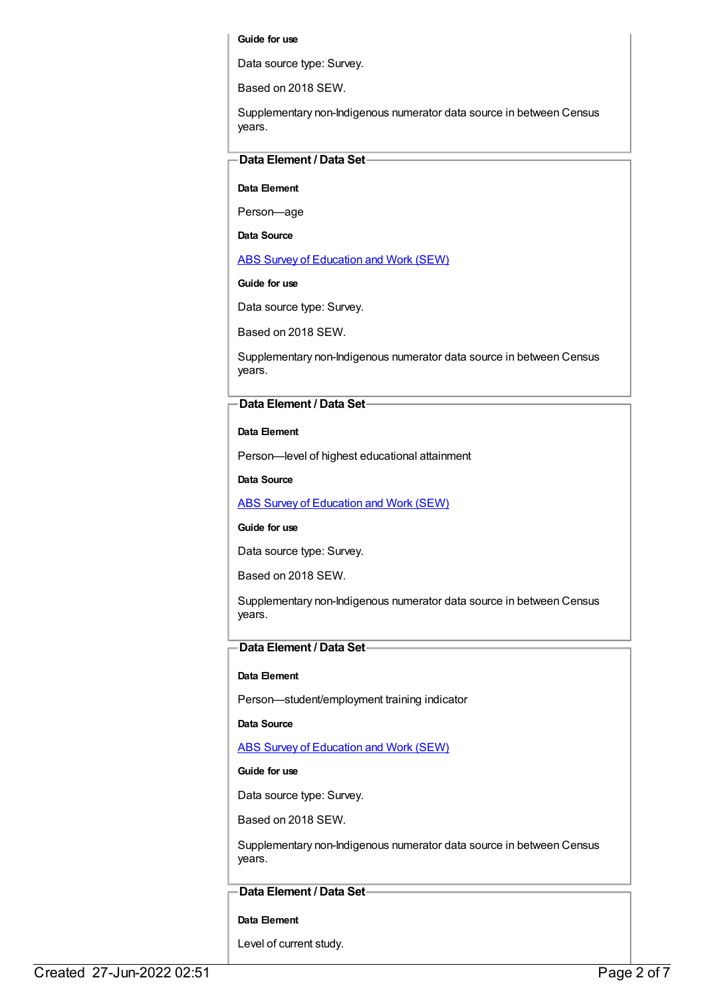### **Guide for use**

Data source type: Survey.

Based on 2018 SEW.

Supplementary non-Indigenous numerator data source in between Census years.

## **Data Element / Data Set**

**Data Element**

Person—age

**Data Source**

ABS Survey of [Education](https://meteor.aihw.gov.au/content/396601) and Work (SEW)

**Guide for use**

Data source type: Survey.

Based on 2018 SEW.

Supplementary non-Indigenous numerator data source in between Census years.

### **Data Element / Data Set**

**Data Element**

Person—level of highest educational attainment

**Data Source**

ABS Survey of [Education](https://meteor.aihw.gov.au/content/396601) and Work (SEW)

### **Guide for use**

Data source type: Survey.

Based on 2018 SEW.

Supplementary non-Indigenous numerator data source in between Census years.

## **Data Element / Data Set**

### **Data Element**

Person—student/employment training indicator

**Data Source**

ABS Survey of [Education](https://meteor.aihw.gov.au/content/396601) and Work (SEW)

### **Guide for use**

Data source type: Survey.

Based on 2018 SEW.

Supplementary non-Indigenous numerator data source in between Census years.

### **Data Element / Data Set**

### **Data Element**

Level of current study.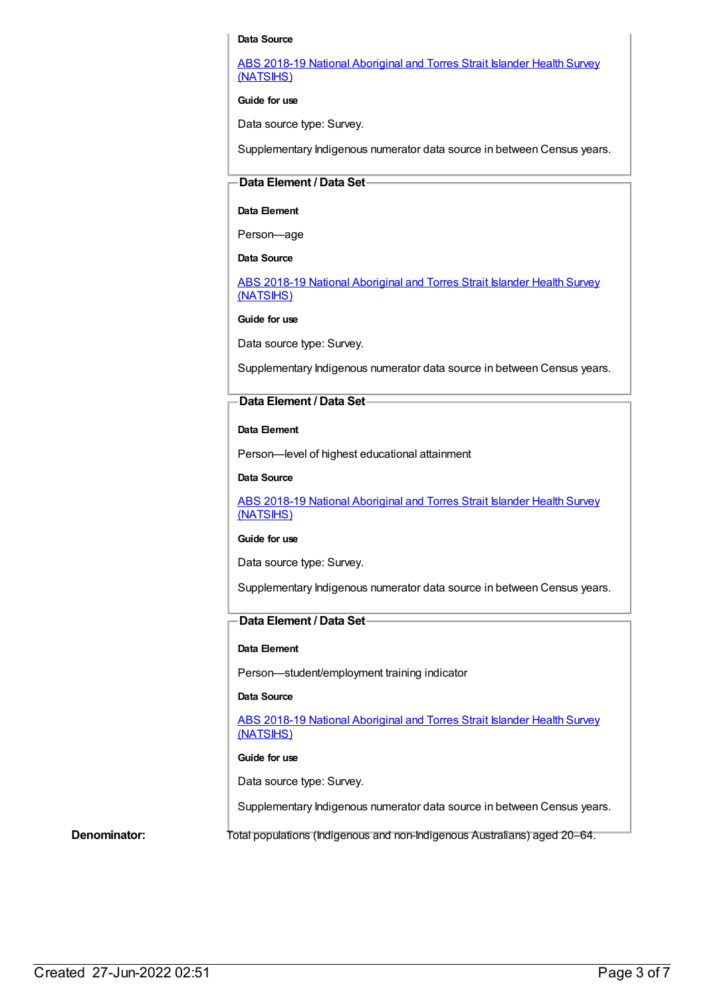### **Data Source**

ABS 2018-19 National [Aboriginal](https://meteor.aihw.gov.au/content/719848) and Torres Strait Islander Health Survey (NATSIHS)

**Guide for use**

Data source type: Survey.

Supplementary Indigenous numerator data source in between Census years.

### **Data Element / Data Set**

### **Data Element**

Person—age

**Data Source**

ABS 2018-19 National [Aboriginal](https://meteor.aihw.gov.au/content/719848) and Torres Strait Islander Health Survey (NATSIHS)

**Guide for use**

Data source type: Survey.

Supplementary Indigenous numerator data source in between Census years.

### **Data Element / Data Set**

### **Data Element**

Person—level of highest educational attainment

**Data Source**

ABS 2018-19 National [Aboriginal](https://meteor.aihw.gov.au/content/719848) and Torres Strait Islander Health Survey (NATSIHS)

### **Guide for use**

Data source type: Survey.

Supplementary Indigenous numerator data source in between Census years.

## **Data Element / Data Set**

### **Data Element**

Person—student/employment training indicator

### **Data Source**

ABS 2018-19 National [Aboriginal](https://meteor.aihw.gov.au/content/719848) and Torres Strait Islander Health Survey (NATSIHS)

### **Guide for use**

Data source type: Survey.

Supplementary Indigenous numerator data source in between Census years.

**Denominator:** Total populations (Indigenous and non-Indigenous Australians) aged 20–64.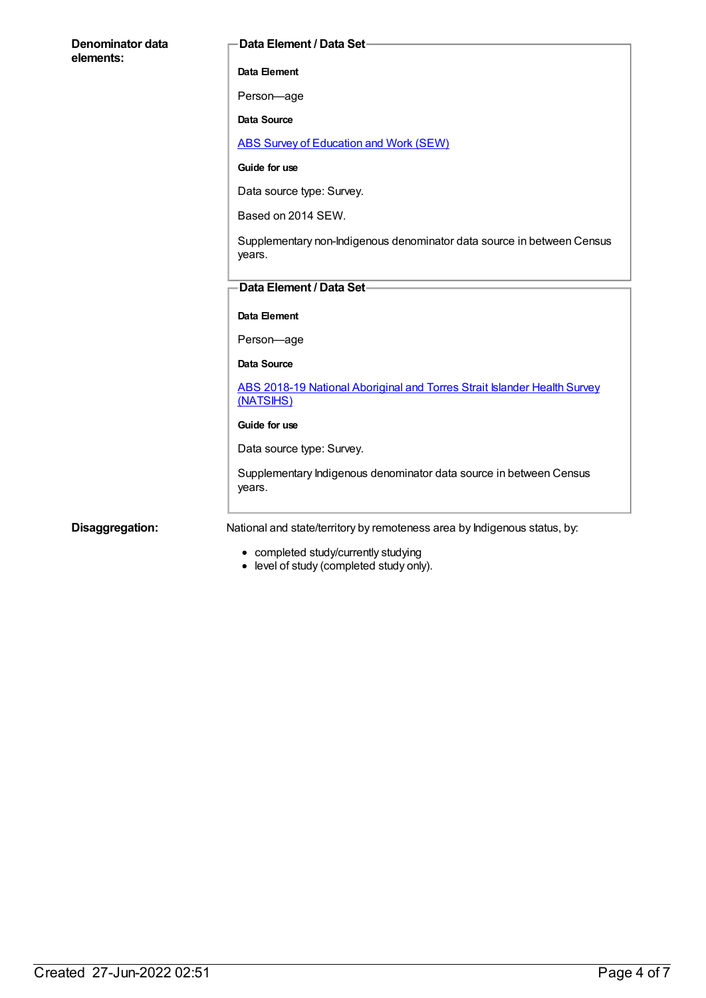| Denominator data<br>elements: | Data Element / Data Set-                                                                                        |
|-------------------------------|-----------------------------------------------------------------------------------------------------------------|
|                               | Data Element                                                                                                    |
|                               | Person-age                                                                                                      |
|                               | <b>Data Source</b>                                                                                              |
|                               | <b>ABS Survey of Education and Work (SEW)</b>                                                                   |
|                               | Guide for use                                                                                                   |
|                               | Data source type: Survey.                                                                                       |
|                               | Based on 2014 SEW.                                                                                              |
|                               | Supplementary non-Indigenous denominator data source in between Census<br>years.                                |
|                               | Data Element / Data Set-                                                                                        |
|                               | Data Element                                                                                                    |
|                               | Person-age                                                                                                      |
|                               | <b>Data Source</b>                                                                                              |
|                               | ABS 2018-19 National Aboriginal and Torres Strait Islander Health Survey<br>(NATSIHS)                           |
|                               | Guide for use                                                                                                   |
|                               | Data source type: Survey.                                                                                       |
|                               | Supplementary Indigenous denominator data source in between Census<br>years.                                    |
| Disaggregation:               | National and state/territory by remoteness area by Indigenous status, by:<br>completed etudy/eurreptly etudying |

- completed study/currently studying
- level of study (completed study only).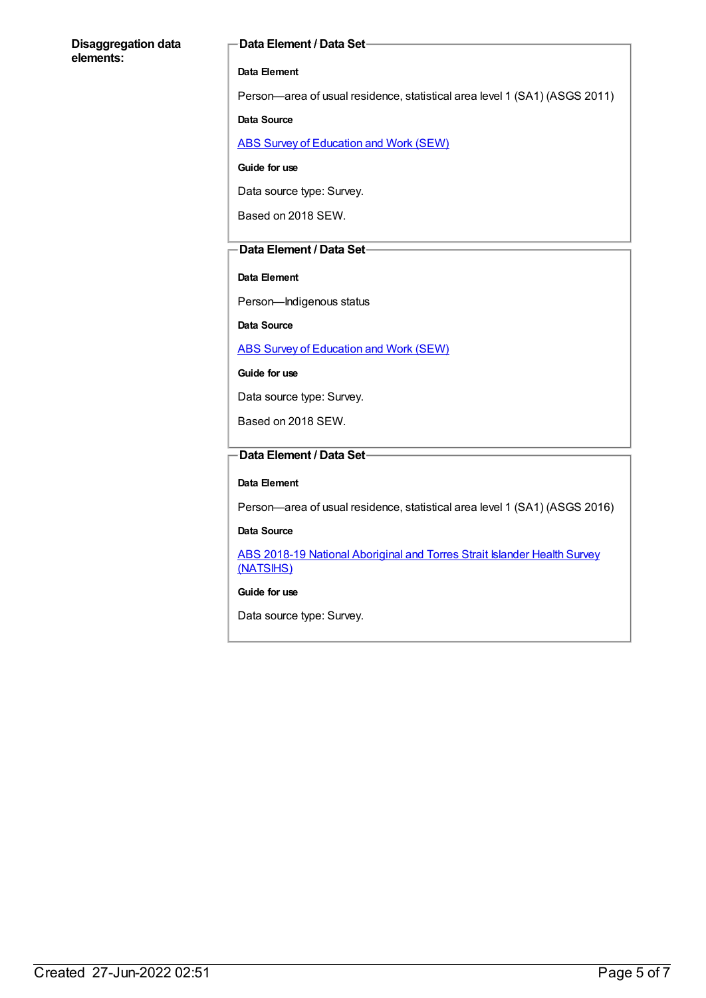### **Disaggregation data elements:**

### **Data Element / Data Set**

### **Data Element**

Person—area of usual residence, statistical area level 1 (SA1) (ASGS 2011)

### **Data Source**

ABS Survey of [Education](https://meteor.aihw.gov.au/content/396601) and Work (SEW)

**Guide for use**

Data source type: Survey.

Based on 2018 SEW.

### **Data Element / Data Set**

### **Data Element**

Person—Indigenous status

**Data Source**

ABS Survey of [Education](https://meteor.aihw.gov.au/content/396601) and Work (SEW)

**Guide for use**

Data source type: Survey.

Based on 2018 SEW.

## **Data Element / Data Set**

### **Data Element**

Person—area of usual residence, statistical area level 1 (SA1) (ASGS 2016)

### **Data Source**

ABS 2018-19 National [Aboriginal](https://meteor.aihw.gov.au/content/719848) and Torres Strait Islander Health Survey (NATSIHS)

### **Guide for use**

Data source type: Survey.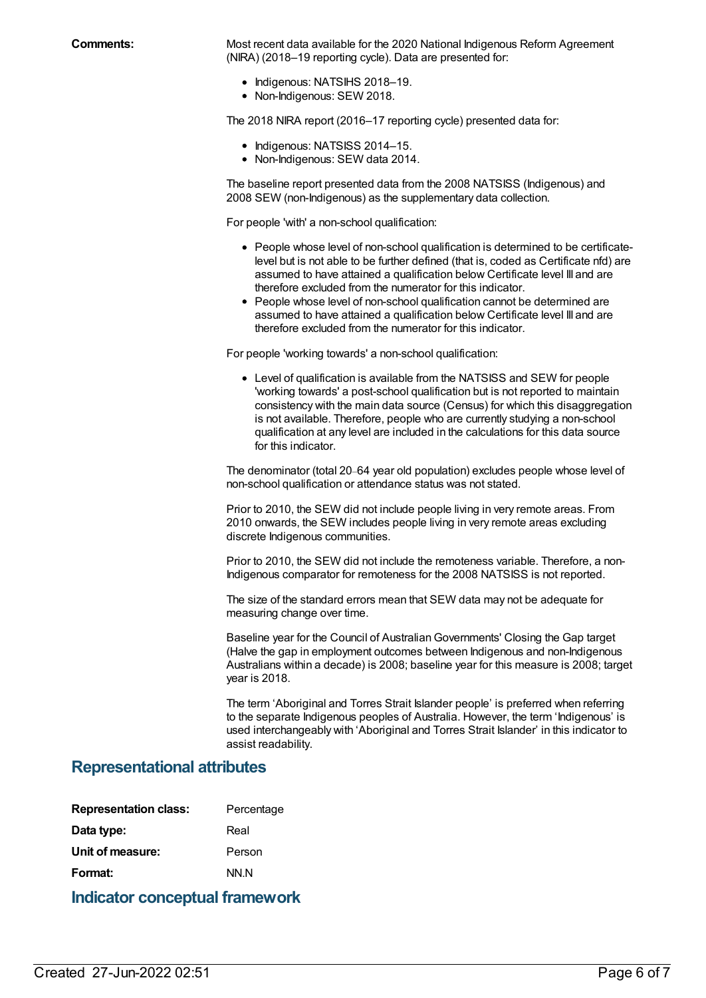**Comments:** Most recent data available for the 2020 National Indigenous Reform Agreement (NIRA) (2018–19 reporting cycle). Data are presented for:

- Indigenous: NATSIHS 2018-19.
- Non-Indigenous: SEW 2018.

The 2018 NIRA report (2016–17 reporting cycle) presented data for:

- Indigenous: NATSISS 2014-15.
- Non-Indigenous: SEW data 2014.

The baseline report presented data from the 2008 NATSISS (Indigenous) and 2008 SEW (non-Indigenous) as the supplementary data collection.

For people 'with' a non-school qualification:

- People whose level of non-school qualification is determined to be certificatelevel but is not able to be further defined (that is, coded as Certificate nfd) are assumed to have attained a qualification below Certificate level III and are therefore excluded from the numerator for this indicator.
- People whose level of non-school qualification cannot be determined are assumed to have attained a qualification below Certificate level III and are therefore excluded from the numerator for this indicator.

For people 'working towards' a non-school qualification:

Level of qualification is available from the NATSISS and SEW for people 'working towards' a post-school qualification but is not reported to maintain consistency with the main data source (Census) for which this disaggregation is not available. Therefore, people who are currently studying a non-school qualification at any level are included in the calculations for this data source for this indicator.

The denominator (total 20–64 year old population) excludes people whose level of non-school qualification or attendance status was not stated.

Prior to 2010, the SEW did not include people living in very remote areas. From 2010 onwards, the SEW includes people living in very remote areas excluding discrete Indigenous communities.

Prior to 2010, the SEW did not include the remoteness variable. Therefore, a non-Indigenous comparator for remoteness for the 2008 NATSISS is not reported.

The size of the standard errors mean that SEW data may not be adequate for measuring change over time.

Baseline year for the Council of AustralianGovernments' Closing the Gap target (Halve the gap in employment outcomes between Indigenous and non-Indigenous Australians within a decade) is 2008; baseline year for this measure is 2008; target year is 2018.

The term 'Aboriginal and Torres Strait Islander people' is preferred when referring to the separate Indigenous peoples of Australia. However, the term 'Indigenous' is used interchangeably with 'Aboriginal and Torres Strait Islander' in this indicator to assist readability.

## **Representational attributes**

| <b>Representation class:</b> | Percentage |
|------------------------------|------------|
| Data type:                   | Real       |
| Unit of measure:             | Person     |
| Format:                      | NN N       |
|                              |            |

## **Indicator conceptual framework**